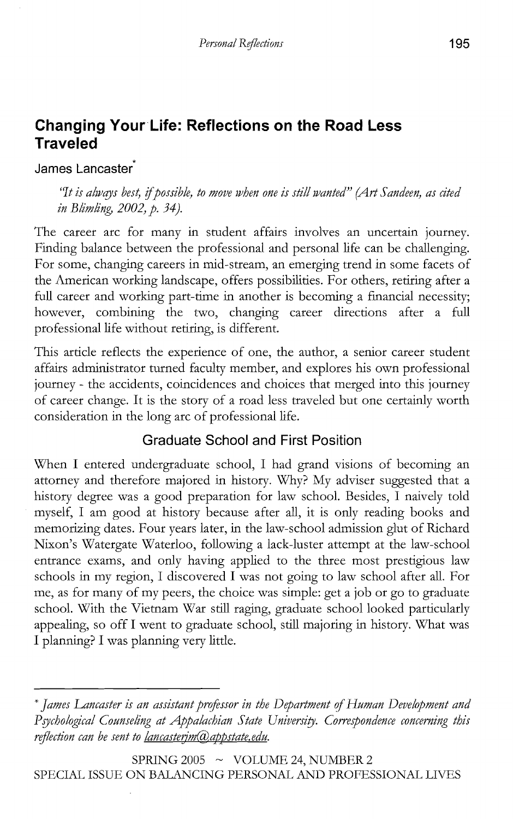# **Changing** Your Life: **Reflections on the Road Less Traveled**

**James** Lancaster

*"It is always best, if possible, to move when one is still wanted" (Art Sandeen, as cited in Blimling, 2002, p. 34).* 

The career arc for many in student affairs involves an uncertain journey. Finding balance between the professional and personal life can be challenging. For some, changing careers in mid-stream, an emerging trend in some facets of the American working landscape, offers possibilities. For others, retiring after a full career and working part-time in another is becoming a financial necessity; however, combining the two, changing career directions after a full professional life without retiring, is different.

This article reflects the experience of one, the author, a senior career student affairs administrator turned faculty member, and explores his own professional journey - the accidents, coincidences and choices that merged into this journey of career change. It is the story of a road less traveled but one certainly worth consideration in the long arc of professional life.

## **Graduate School and First Position**

When I entered undergraduate school, I had grand visions of becoming an attorney and therefore majored in history. Why? My adviser suggested that a history degree was a good preparation for law school. Besides, I naively told myself, I am good at history because after all, it is only reading books and memorizing dates. Four years later, in the law-school admission glut of Richard Nixon's Watergate Waterloo, following a lack-luster attempt at the law-school entrance exams, and only having applied to the three most prestigious law schools in my region, I discovered I was not going to law school after all. For me, as for many of my peers, the choice was simple: get a job or go to graduate schooL With the Vietnam War still raging, graduate school looked particularly appealing, so off I went to graduate school, still majoring in history. What was I planning? I was planning very little.

SPRING 2005  $\sim$  VOLUME 24, NUMBER 2 SPECIAL ISSUE ON BALANCING PERSONAL AND PROFESSIONAL LIVES

<sup>\*</sup> *James Lancaster is an assistant projessor in the Department* if*Human Development and*  Psychological Counseling at Appalachian State University. Correspondence concerning this *reflection can be sent to <u>lancasterim</u>@appstate.edu.*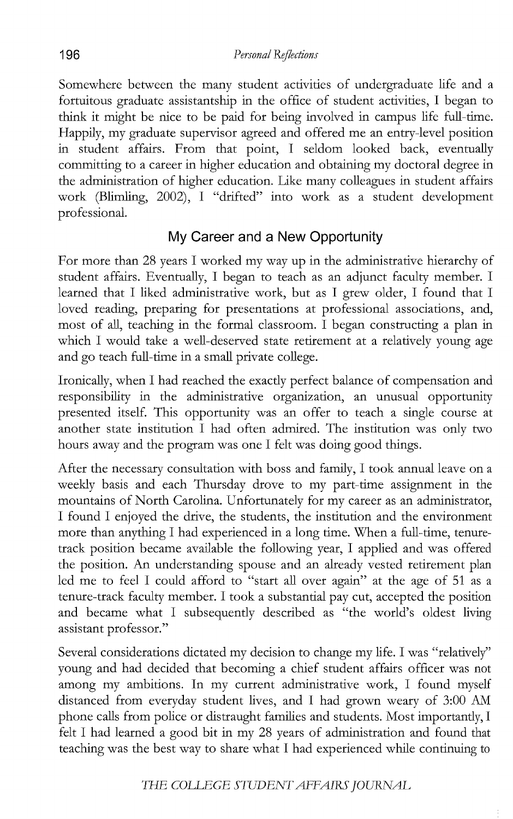Somewhere between the many student activities of undergraduate life and a fortuitous graduate assistantship in the office of student activities, I began to think it might be nice to be paid for being involved in campus life full-time. Happily, my graduate supervisor agreed and offered me an entry-level position in student affairs. From that point, I seldom looked back, eventually committing to a career in higher education and obtaining my doctoral degree in the administration of higher education. Like many colleagues in student affairs work (Blimling, 2002), I "drifted" into work as a student development professional.

### **My Career and a New Opportunity**

For more than 28 years I worked my way up in the administrative hierarchy of student affairs. Eventually, I began to teach as an adjunct faculty member. I learned that I liked administrative work, but as I grew older, I found that I loved reading, preparing for presentations at professional associations, and, most of all, teaching in the formal classroom. I began constructing a plan in which I would take a well-deserved state retirement at a relatively young age and go teach full-time in a small private college.

Ironically, when I had reached the exactly perfect balance of compensation and responsibility in the administrative organization, an unusual opportunity presented itself. This opportunity was an offer to teach a single course at another state institution I had often admired. The institution was only two hours away and the program was one I felt was doing good things.

After the necessary consultation with boss and family, I took annual leave on a weekly basis and each Thursday drove to my part-time assignment in the mountains of North Carolina. Unfortunately for my career as an administrator, I found I enjoyed the drive, the students, the institution and the environment more than anything I had experienced in a long time. When a full-time, tenuretrack position became available the following year, I applied and was offered the position. An understanding spouse and an already vested retirement plan led me to feel I could afford to "start all over again" at the age of 51 as a tenure-track faculty member. I took a substantial pay cut, accepted the position and became what I subsequently described as "the world's oldest living assistant professor."

Several considerations dictated my decision to change my life. I was "relatively" young and had decided that becoming a chief student affairs officer was not among my ambitions. **In** my current administrative work, I found myself distanced from everyday student lives, and I had grown weary of 3:00 AM phone calls from police or distraught families and students. Most importantly, I felt I had learned a good bit in my 28 years of administration and found that teaching was the best way to share what I had experienced while continuing to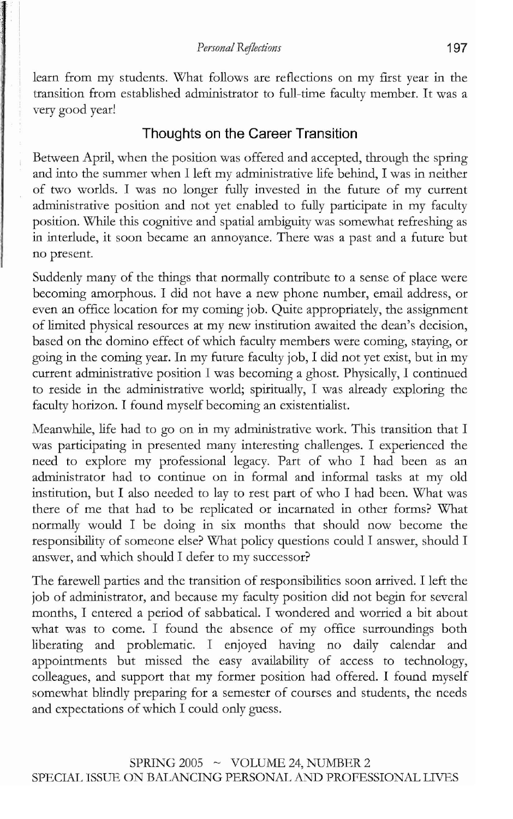learn from my students. What follows are reflections on my first year in the transition from established administrator to full-time faculty member. It was a very good year!

#### **Thoughts on the Career Transition**

Between April, when the position was offered and accepted, through the spring and into the summer when 1 left my administrative life behind, I was in neither of two worlds. I was no longer fully invested in the future of my current administrative position and not yet enabled to fully participate in my faculty position. While this cognitive and spatial ambiguity was somewhat refreshing as in interlude, it soon became an annoyance. There was a past and a future but no present.

Suddenly many of the things that normally contribute to a sense of place were becoming amorphous. I did not have a new phone number, email address, or even an office location for my coming job. Quite appropriately, the assignment of limited physical resources at my new institution awaited the dean's decision, based on the domino effect of which faculty members were coming, staying, or going in the coming year. In my future faculty job, I did not yet exist, but in my current administrative position 1 was becoming a ghost. Physically, 1 continued to reside in the administrative world; spiritually, I was already exploring the faculty horizon. I found myself becoming an existentialist.

Meanwhile, life had to go on in my administrative work. This transition that I was participating in presented many interesting challenges. I experienced the need to explore my professional legacy. Part of who I had been as an administrator had to continue on in formal and informal tasks at my old institution, but I also needed to lay to rest part of who I had been. What was there of me that had to be replicated or incarnated in other forms? What normally would I be doing in six months that should now become the responsibility of someone else? What policy questions could I answer, should I answer, and which should I defer to my successor?

The farewell parties and the transition of responsibilities soon arrived. I left the job of administrator, and because my faculty position did not begin for several months, I entered a period of sabbatical. I wondered and worried a bit about what was to come. I found the absence of my office surroundings both liberating and problematic. I enjoyed having no daily calendar and appointments but missed the easy availability of access to technology, colleagues, and support that my former position had offered. I found myself somewhat blindly preparing for a semester of courses and students, the needs and expectations of which I could only guess.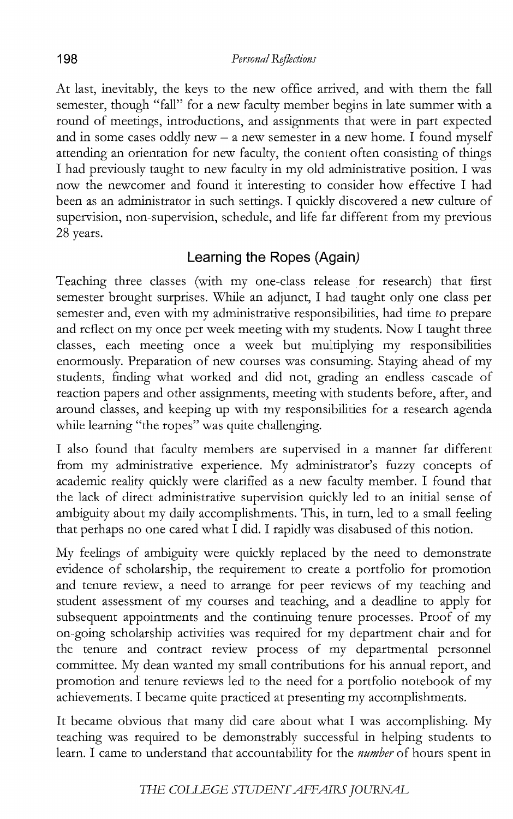At last, inevitably, the keys to the new office arrived, and with them the fall semester, though "fall" for a new faculty member begins in late summer with a round of meetings, introductions, and assignments that were in part expected and in some cases oddly new  $-$  a new semester in a new home. I found myself attending an orientation for new faculty, the content often consisting of things I had previously taught to new faculty in my old administrative position. I was now the newcomer and found it interesting to consider how effective I had been as an administrator in such settings. I quickly discovered a new culture of supervision, non-supervision, schedule, and life far different from my previous 28 years.

### **Learning the Ropes (Again)**

Teaching three classes (with my one-class release for research) that first semester brought surprises. While an adjunct, I had taught only one class per semester and, even with my administrative responsibilities, had time to prepare and reflect on my once per week meeting with my students. Now I taught three classes, each meeting once a week but multiplying my responsibilities enormously. Preparation of new courses was consuming. Staying ahead of my students, finding what worked and did not, grading an endless cascade of reaction papers and other assignments, meeting with students before, after, and around classes, and keeping up with my responsibilities for a research agenda while learning "the ropes" was quite challenging.

I also found that faculty members are supervised in a manner far different from my administrative experience. My administrator's fuzzy concepts of academic reality quickly were clarified as a new faculty member. I found that the lack of direct administrative supervision quickly led to an initial sense of ambiguity about my daily accomplishments. This, in turn, led to a small feeling that perhaps no one cared what I did. I rapidly was disabused of this notion.

My feelings of ambiguity were quickly replaced by the need to demonstrate evidence of scholarship, the requirement to create a portfolio for promotion and tenure review, a need to arrange for peer reviews of my teaching and student assessment of my courses and teaching, and a deadline to apply for subsequent appointments and the continuing tenure processes. Proof of my on-going scholarship activities was required for my department chair and for the tenure and contract review process of my departmental personnel committee. My dean wanted my small contributions for his annual report, and promotion and tenure reviews led to the need for a portfolio notebook of my achievements. I became quite practiced at presenting my accomplishments.

It became obvious that many did care about what I was accomplishing. My teaching was required to be demonstrably successful in helping students to learn. I came to understand that accountability for the *number* of hours spent in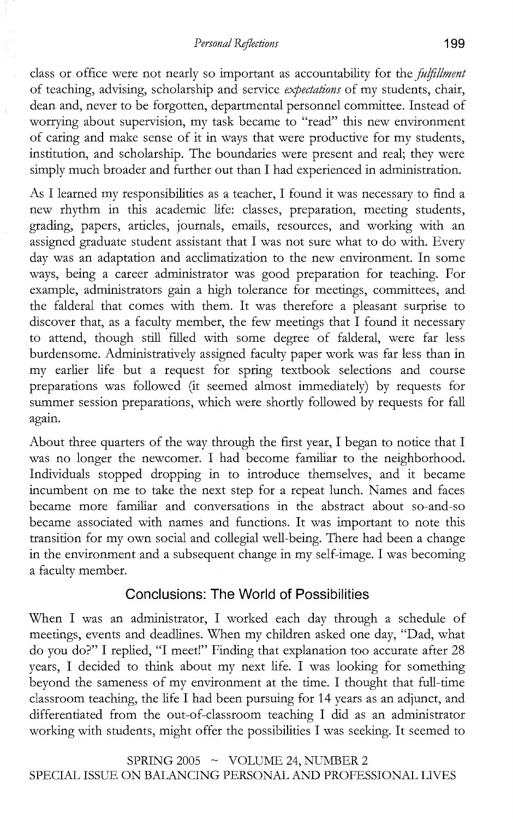class or office were not nearly so important as accountability for the *fulfillment* of teaching, advising, scholarship and service *expectations* of my students, chair, dean and, never to be forgotten, departmental personnel committee. Instead of worrying about supervision, my task became to "read" this new environment of caring and make sense of it in ways that were productive for my students, institution, and scholarship. The boundaries were present and real; they were simply much broader and further out than I had experienced in administration.

As I learned my responsibilities as a teacher, I found it was necessary to find a new rhythm in this academic life: classes, preparation, meeting students, grading, papers, articles, journals, emails, resources, and working with an assigned graduate student assistant that I was not sure what to do with. Every day was an adaptation and acclimatization to the new environment. In some ways, being a career administrator was good preparation for teaching. For example, administrators gain a high tolerance for meetings, committees, and the falderal that comes with them. It was therefore a pleasant surprise to discover that, as a faculty member, the few meetings that I found it necessary to attend, though still filled with some degree of falderal, were far less burdensome. Administratively assigned faculty paper work was far less than in my earlier life but a request for spring textbook selections and course preparations was followed (it seemed almost immediately) by requests for summer session preparations, which were shortly followed by requests for fall again.

About three quarters of the way through the first year, I began to notice that I was no longer the newcomer. I had become familiar to the neighborhood. Individuals stopped dropping in to introduce themselves, and it became incumbent on me to take the next step for a repeat lunch. Names and faces became more familiar and conversations in the abstract about so-and-so became associated with names and functions. It was important to note this transition for my own social and collegial well-being. There had been a change in the environment and a subsequent change in my self-image. I was becoming a faculty member.

#### **Conclusions: The World of Possibilities**

When I was an administrator, I worked each day through a schedule of meetings, events and deadlines. When my children asked one day, "Dad, what do you do?" I replied, "I meet!" Finding that explanation too accurate after 28 years, I decided to think about my next life. I was looking for something beyond the sameness of my environment at the time. I thought that full-time classroom teaching, the life I had been pursuing for 14 years as an adjunct, and differentiated from the out-of-classroom teaching I did as an administrator working with students, might offer the possibilities I was seeking. It seemed to

SPRING 2005  $\sim$  VOLUME 24, NUMBER 2 SPECIAL ISSUE ON BALANCING PERSONAL AND PROFESSIONAL LIVES